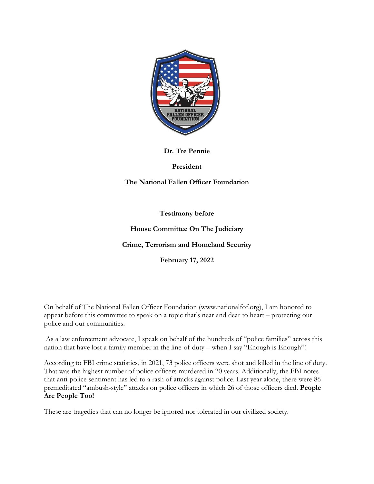

**Dr. Tre Pennie** 

**President** 

**The National Fallen Officer Foundation**

**Testimony before** 

**House Committee On The Judiciary** 

**Crime, Terrorism and Homeland Security** 

**February 17, 2022**

On behalf of The National Fallen Officer Foundation [\(www.nationalfof.org\)](http://www.nationalfof.org/), I am honored to appear before this committee to speak on a topic that's near and dear to heart – protecting our police and our communities.

As a law enforcement advocate, I speak on behalf of the hundreds of "police families" across this nation that have lost a family member in the line-of-duty – when I say "Enough is Enough"!

According to FBI crime statistics, in 2021, 73 police officers were shot and killed in the line of duty. That was the highest number of police officers murdered in 20 years. Additionally, the FBI notes that anti-police sentiment has led to a rash of attacks against police. Last year alone, there were 86 premeditated "ambush-style" attacks on police officers in which 26 of those officers died. **People Are People Too!** 

These are tragedies that can no longer be ignored nor tolerated in our civilized society.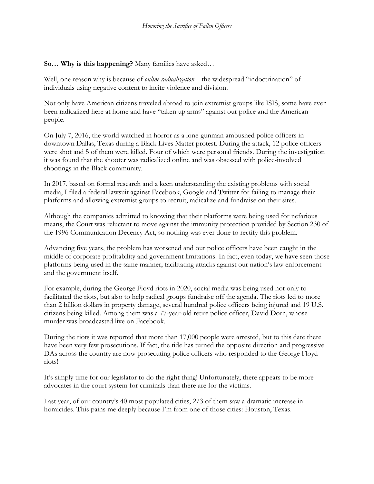## **So… Why is this happening?** Many families have asked…

Well, one reason why is because of *online radicalization* – the widespread "indoctrination" of individuals using negative content to incite violence and division.

Not only have American citizens traveled abroad to join extremist groups like ISIS, some have even been radicalized here at home and have "taken up arms" against our police and the American people.

On July 7, 2016, the world watched in horror as a lone-gunman ambushed police officers in downtown Dallas, Texas during a Black Lives Matter protest. During the attack, 12 police officers were shot and 5 of them were killed. Four of which were personal friends. During the investigation it was found that the shooter was radicalized online and was obsessed with police-involved shootings in the Black community.

In 2017, based on formal research and a keen understanding the existing problems with social media, I filed a federal lawsuit against Facebook, Google and Twitter for failing to manage their platforms and allowing extremist groups to recruit, radicalize and fundraise on their sites.

Although the companies admitted to knowing that their platforms were being used for nefarious means, the Court was reluctant to move against the immunity protection provided by Section 230 of the 1996 Communication Decency Act, so nothing was ever done to rectify this problem.

Advancing five years, the problem has worsened and our police officers have been caught in the middle of corporate profitability and government limitations. In fact, even today, we have seen those platforms being used in the same manner, facilitating attacks against our nation's law enforcement and the government itself.

For example, during the George Floyd riots in 2020, social media was being used not only to facilitated the riots, but also to help radical groups fundraise off the agenda. The riots led to more than 2 billion dollars in property damage, several hundred police officers being injured and 19 U.S. citizens being killed. Among them was a 77-year-old retire police officer, David Dorn, whose murder was broadcasted live on Facebook.

During the riots it was reported that more than 17,000 people were arrested, but to this date there have been very few prosecutions. If fact, the tide has turned the opposite direction and progressive DAs across the country are now prosecuting police officers who responded to the George Floyd riots!

It's simply time for our legislator to do the right thing! Unfortunately, there appears to be more advocates in the court system for criminals than there are for the victims.

Last year, of our country's 40 most populated cities, 2/3 of them saw a dramatic increase in homicides. This pains me deeply because I'm from one of those cities: Houston, Texas.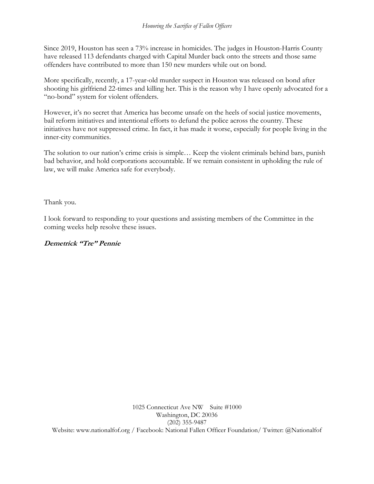Since 2019, Houston has seen a 73% increase in homicides. The judges in Houston-Harris County have released 113 defendants charged with Capital Murder back onto the streets and those same offenders have contributed to more than 150 new murders while out on bond.

More specifically, recently, a 17-year-old murder suspect in Houston was released on bond after shooting his girlfriend 22-times and killing her. This is the reason why I have openly advocated for a "no-bond" system for violent offenders.

However, it's no secret that America has become unsafe on the heels of social justice movements, bail reform initiatives and intentional efforts to defund the police across the country. These initiatives have not suppressed crime. In fact, it has made it worse, especially for people living in the inner-city communities.

The solution to our nation's crime crisis is simple… Keep the violent criminals behind bars, punish bad behavior, and hold corporations accountable. If we remain consistent in upholding the rule of law, we will make America safe for everybody.

Thank you.

I look forward to responding to your questions and assisting members of the Committee in the coming weeks help resolve these issues.

## **Demetrick "Tre" Pennie**